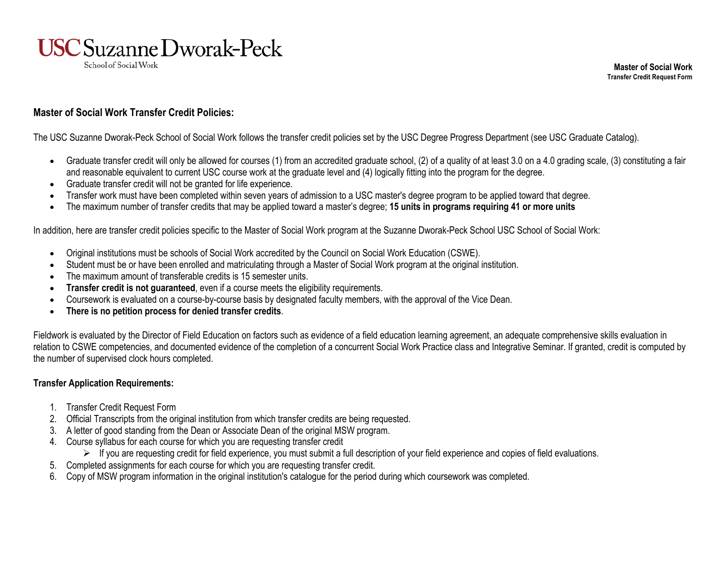

**Master of Social Work Transfer Credit Request Form**

## **Master of Social Work Transfer Credit Policies:**

The USC Suzanne Dworak-Peck School of Social Work follows the transfer credit policies set by the USC Degree Progress Department (see USC Graduate Catalog).

- Graduate transfer credit will only be allowed for courses (1) from an accredited graduate school, (2) of a quality of at least 3.0 on a 4.0 grading scale, (3) constituting a fair and reasonable equivalent to current USC course work at the graduate level and (4) logically fitting into the program for the degree.
- Graduate transfer credit will not be granted for life experience.
- Transfer work must have been completed within seven years of admission to a USC master's degree program to be applied toward that degree.
- The maximum number of transfer credits that may be applied toward a master's degree; **15 units in programs requiring 41 or more units**

In addition, here are transfer credit policies specific to the Master of Social Work program at the Suzanne Dworak-Peck School USC School of Social Work:

- Original institutions must be schools of Social Work accredited by the Council on Social Work Education (CSWE).
- Student must be or have been enrolled and matriculating through a Master of Social Work program at the original institution.
- The maximum amount of transferable credits is 15 semester units.
- **Transfer credit is not guaranteed**, even if a course meets the eligibility requirements.
- Coursework is evaluated on a course-by-course basis by designated faculty members, with the approval of the Vice Dean.
- **There is no petition process for denied transfer credits**.

Fieldwork is evaluated by the Director of Field Education on factors such as evidence of a field education learning agreement, an adequate comprehensive skills evaluation in relation to CSWE competencies, and documented evidence of the completion of a concurrent Social Work Practice class and Integrative Seminar. If granted, credit is computed by the number of supervised clock hours completed.

## **Transfer Application Requirements:**

- 1. Transfer Credit Request Form
- 2. Official Transcripts from the original institution from which transfer credits are being requested.
- 3. A letter of good standing from the Dean or Associate Dean of the original MSW program.
- 4. Course syllabus for each course for which you are requesting transfer credit
	- $\triangleright$  If you are requesting credit for field experience, you must submit a full description of your field experience and copies of field evaluations.
- 5. Completed assignments for each course for which you are requesting transfer credit.
- 6. Copy of MSW program information in the original institution's catalogue for the period during which coursework was completed.